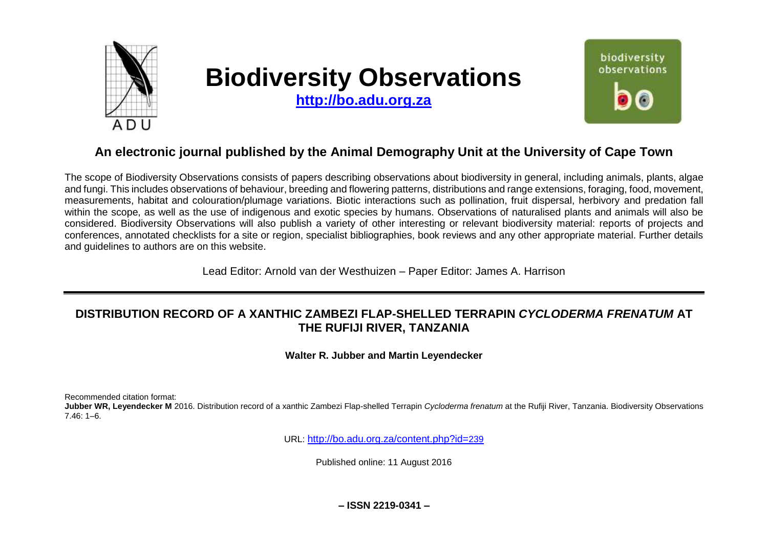

# **Biodiversity Observations**

**[http://bo.adu.org.za](http://bo.adu.org.za/)**



## **An electronic journal published by the Animal Demography Unit at the University of Cape Town**

The scope of Biodiversity Observations consists of papers describing observations about biodiversity in general, including animals, plants, algae and fungi. This includes observations of behaviour, breeding and flowering patterns, distributions and range extensions, foraging, food, movement, measurements, habitat and colouration/plumage variations. Biotic interactions such as pollination, fruit dispersal, herbivory and predation fall within the scope, as well as the use of indigenous and exotic species by humans. Observations of naturalised plants and animals will also be considered. Biodiversity Observations will also publish a variety of other interesting or relevant biodiversity material: reports of projects and conferences, annotated checklists for a site or region, specialist bibliographies, book reviews and any other appropriate material. Further details and guidelines to authors are on this website.

Lead Editor: Arnold van der Westhuizen – Paper Editor: James A. Harrison

## **DISTRIBUTION RECORD OF A XANTHIC ZAMBEZI FLAP-SHELLED TERRAPIN** *CYCLODERMA FRENATUM* **AT THE RUFIJI RIVER, TANZANIA**

**Walter R. Jubber and Martin Leyendecker**

Recommended citation format:

**Jubber WR, Leyendecker M** 2016. Distribution record of a xanthic Zambezi Flap-shelled Terrapin *Cycloderma frenatum* at the Rufiji River, Tanzania. Biodiversity Observations 7.46: 1–6.

URL: [http://bo.adu.org.za/content.php?id=](http://bo.adu.org.za/content.php?id=239)239

Published online: 11 August 2016

**– ISSN 2219-0341 –**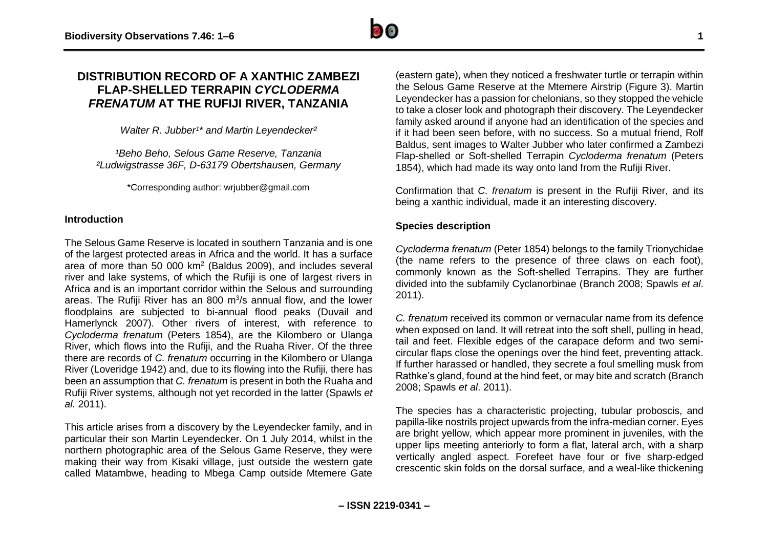### **DISTRIBUTION RECORD OF A XANTHIC ZAMBEZI FLAP-SHELLED TERRAPIN** *CYCLODERMA FRENATUM* **AT THE RUFIJI RIVER, TANZANIA**

*Walter R. Jubber<sup>1\*</sup> and Martin Leyendecker<sup>2</sup>* 

*¹Beho Beho, Selous Game Reserve, Tanzania ²Ludwigstrasse 36F, D-63179 Obertshausen, Germany*

\*Corresponding author: wrjubber@gmail.com

#### **Introduction**

The Selous Game Reserve is located in southern Tanzania and is one of the largest protected areas in Africa and the world. It has a surface area of more than 50 000  $km^2$  (Baldus 2009), and includes several river and lake systems, of which the Rufiji is one of largest rivers in Africa and is an important corridor within the Selous and surrounding areas. The Rufiji River has an 800  $m^3/s$  annual flow, and the lower floodplains are subjected to bi-annual flood peaks (Duvail and Hamerlynck 2007). Other rivers of interest, with reference to *Cycloderma frenatum* (Peters 1854), are the Kilombero or Ulanga River, which flows into the Rufiji, and the Ruaha River. Of the three there are records of *C. frenatum* occurring in the Kilombero or Ulanga River (Loveridge 1942) and, due to its flowing into the Rufiji, there has been an assumption that *C. frenatum* is present in both the Ruaha and Rufiji River systems, although not yet recorded in the latter (Spawls *et al.* 2011).

This article arises from a discovery by the Leyendecker family, and in particular their son Martin Leyendecker. On 1 July 2014, whilst in the northern photographic area of the Selous Game Reserve, they were making their way from Kisaki village, just outside the western gate called Matambwe, heading to Mbega Camp outside Mtemere Gate

(eastern gate), when they noticed a freshwater turtle or terrapin within the Selous Game Reserve at the Mtemere Airstrip (Figure 3). Martin Leyendecker has a passion for chelonians, so they stopped the vehicle to take a closer look and photograph their discovery. The Leyendecker family asked around if anyone had an identification of the species and if it had been seen before, with no success. So a mutual friend, Rolf Baldus, sent images to Walter Jubber who later confirmed a Zambezi Flap-shelled or Soft-shelled Terrapin *Cycloderma frenatum* (Peters 1854), which had made its way onto land from the Rufiji River.

Confirmation that *C. frenatum* is present in the Rufiji River, and its being a xanthic individual, made it an interesting discovery.

#### **Species description**

*Cycloderma frenatum* (Peter 1854) belongs to the family Trionychidae (the name refers to the presence of three claws on each foot), commonly known as the Soft-shelled Terrapins. They are further divided into the subfamily Cyclanorbinae (Branch 2008; Spawls *et al*. 2011).

*C. frenatum* received its common or vernacular name from its defence when exposed on land. It will retreat into the soft shell, pulling in head, tail and feet. Flexible edges of the carapace deform and two semicircular flaps close the openings over the hind feet, preventing attack. If further harassed or handled, they secrete a foul smelling musk from Rathke's gland, found at the hind feet, or may bite and scratch (Branch 2008; Spawls *et al*. 2011).

The species has a characteristic projecting, tubular proboscis, and papilla-like nostrils project upwards from the infra-median corner. Eyes are bright yellow, which appear more prominent in juveniles, with the upper lips meeting anteriorly to form a flat, lateral arch, with a sharp vertically angled aspect. Forefeet have four or five sharp-edged crescentic skin folds on the dorsal surface, and a weal-like thickening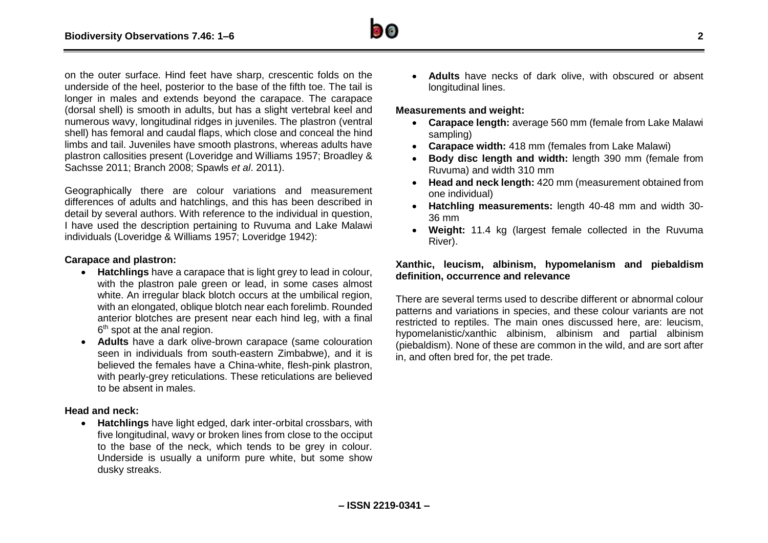on the outer surface. Hind feet have sharp, crescentic folds on the underside of the heel, posterior to the base of the fifth toe. The tail is longer in males and extends beyond the carapace. The carapace (dorsal shell) is smooth in adults, but has a slight vertebral keel and numerous wavy, longitudinal ridges in juveniles. The plastron (ventral shell) has femoral and caudal flaps, which close and conceal the hind limbs and tail. Juveniles have smooth plastrons, whereas adults have plastron callosities present (Loveridge and Williams 1957; Broadley & Sachsse 2011; Branch 2008; Spawls *et al*. 2011).

Geographically there are colour variations and measurement differences of adults and hatchlings, and this has been described in detail by several authors. With reference to the individual in question, I have used the description pertaining to Ruvuma and Lake Malawi individuals (Loveridge & Williams 1957; Loveridge 1942):

#### **Carapace and plastron:**

- **Hatchlings** have a carapace that is light grey to lead in colour, with the plastron pale green or lead, in some cases almost white. An irregular black blotch occurs at the umbilical region, with an elongated, oblique blotch near each forelimb. Rounded anterior blotches are present near each hind leg, with a final 6<sup>th</sup> spot at the anal region.
- **Adults** have a dark olive-brown carapace (same colouration seen in individuals from south-eastern Zimbabwe), and it is believed the females have a China-white, flesh-pink plastron, with pearly-grey reticulations. These reticulations are believed to be absent in males.

#### **Head and neck:**

 **Hatchlings** have light edged, dark inter-orbital crossbars, with five longitudinal, wavy or broken lines from close to the occiput to the base of the neck, which tends to be grey in colour. Underside is usually a uniform pure white, but some show dusky streaks.

 **Adults** have necks of dark olive, with obscured or absent longitudinal lines.

#### **Measurements and weight:**

- **Carapace length:** average 560 mm (female from Lake Malawi sampling)
- **Carapace width:** 418 mm (females from Lake Malawi)
- **Body disc length and width:** length 390 mm (female from Ruvuma) and width 310 mm
- **Head and neck length:** 420 mm (measurement obtained from one individual)
- **Hatchling measurements:** length 40-48 mm and width 30- 36 mm
- **Weight:** 11.4 kg (largest female collected in the Ruvuma River).

#### **Xanthic, leucism, albinism, hypomelanism and piebaldism definition, occurrence and relevance**

There are several terms used to describe different or abnormal colour patterns and variations in species, and these colour variants are not restricted to reptiles. The main ones discussed here, are: leucism, hypomelanistic/xanthic albinism, albinism and partial albinism (piebaldism). None of these are common in the wild, and are sort after in, and often bred for, the pet trade.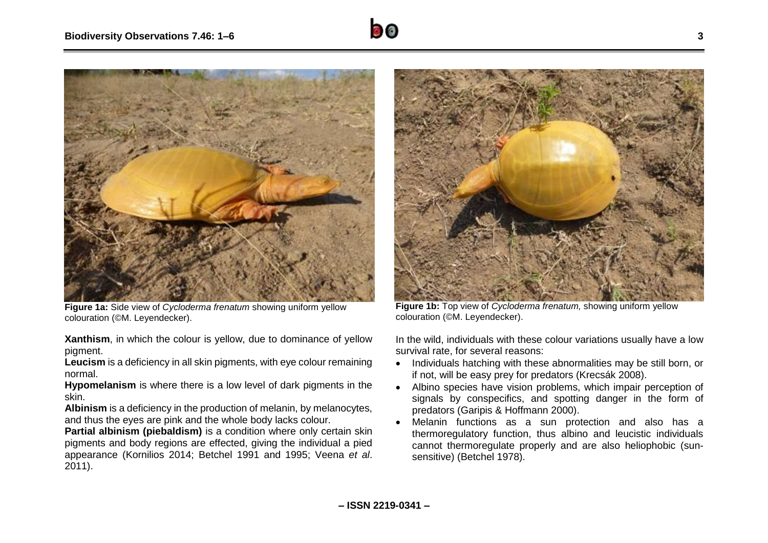

**Figure 1a:** Side view of *Cycloderma frenatum* showing uniform yellow colouration (©M. Leyendecker).

**Xanthism**, in which the colour is yellow, due to dominance of yellow pigment.

**Leucism** is a deficiency in all skin pigments, with eye colour remaining normal.

**Hypomelanism** is where there is a low level of dark pigments in the skin.

Albinism is a deficiency in the production of melanin, by melanocytes, and thus the eyes are pink and the whole body lacks colour.

**Partial albinism (piebaldism)** is a condition where only certain skin pigments and body regions are effected, giving the individual a pied appearance (Kornilios 2014; Betchel 1991 and 1995; Veena *et al*. 2011).



**Figure 1b:** Top view of *Cycloderma frenatum,* showing uniform yellow colouration (©M. Leyendecker).

In the wild, individuals with these colour variations usually have a low survival rate, for several reasons:

- Individuals hatching with these abnormalities may be still born, or if not, will be easy prey for predators (Krecsák 2008).
- Albino species have vision problems, which impair perception of signals by conspecifics, and spotting danger in the form of predators (Garipis & Hoffmann 2000).
- Melanin functions as a sun protection and also has a thermoregulatory function, thus albino and leucistic individuals cannot thermoregulate properly and are also heliophobic (sunsensitive) (Betchel 1978).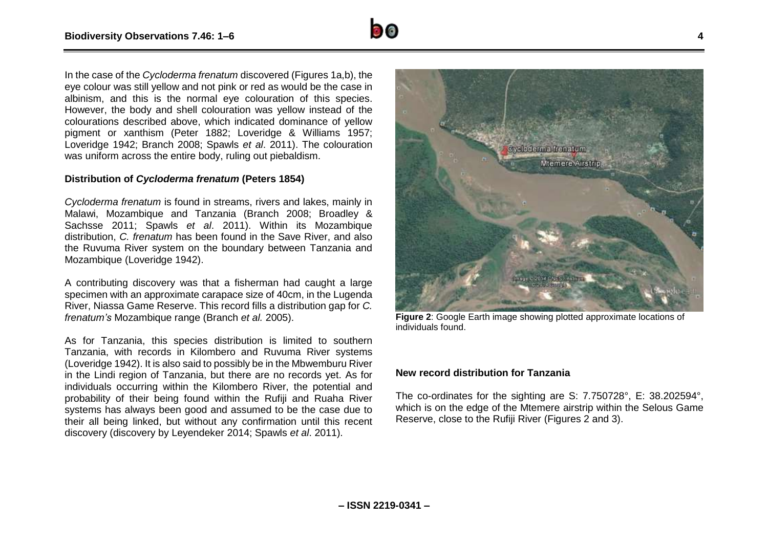In the case of the *Cycloderma frenatum* discovered (Figures 1a,b), the eye colour was still yellow and not pink or red as would be the case in albinism, and this is the normal eye colouration of this species. However, the body and shell colouration was yellow instead of the colourations described above, which indicated dominance of yellow pigment or xanthism (Peter 1882; Loveridge & Williams 1957; Loveridge 1942; Branch 2008; Spawls *et al*. 2011). The colouration was uniform across the entire body, ruling out piebaldism.

#### **Distribution of** *Cycloderma frenatum* **(Peters 1854)**

*Cycloderma frenatum* is found in streams, rivers and lakes, mainly in Malawi, Mozambique and Tanzania (Branch 2008; Broadley & Sachsse 2011; Spawls *et al*. 2011). Within its Mozambique distribution, *C. frenatum* has been found in the Save River, and also the Ruvuma River system on the boundary between Tanzania and Mozambique (Loveridge 1942).

A contributing discovery was that a fisherman had caught a large specimen with an approximate carapace size of 40cm, in the Lugenda River, Niassa Game Reserve. This record fills a distribution gap for *C. frenatum's* Mozambique range (Branch *et al.* 2005).

As for Tanzania, this species distribution is limited to southern Tanzania, with records in Kilombero and Ruvuma River systems (Loveridge 1942). It is also said to possibly be in the Mbwemburu River in the Lindi region of Tanzania, but there are no records yet. As for individuals occurring within the Kilombero River, the potential and probability of their being found within the Rufiji and Ruaha River systems has always been good and assumed to be the case due to their all being linked, but without any confirmation until this recent discovery (discovery by Leyendeker 2014; Spawls *et al*. 2011).



Oveloderma frenatum

Mtemere Airstrip

**Figure 2**: Google Earth image showing plotted approximate locations of individuals found.

#### **New record distribution for Tanzania**

The co-ordinates for the sighting are S: 7.750728°, E: 38.202594°, which is on the edge of the Mtemere airstrip within the Selous Game Reserve, close to the Rufiji River (Figures 2 and 3).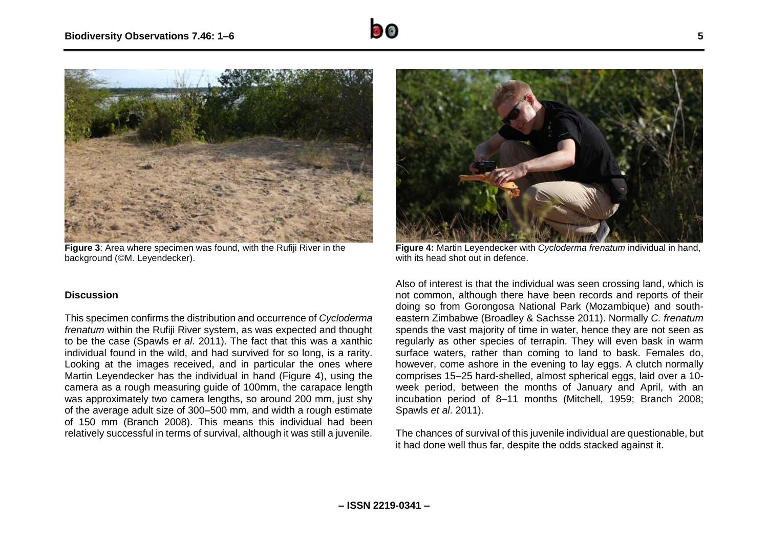

**Figure 3**: Area where specimen was found, with the Rufiji River in the background (©M. Leyendecker).

#### **Discussion**

This specimen confirms the distribution and occurrence of *Cycloderma frenatum* within the Rufiji River system, as was expected and thought to be the case (Spawls *et al*. 2011). The fact that this was a xanthic individual found in the wild, and had survived for so long, is a rarity. Looking at the images received, and in particular the ones where Martin Leyendecker has the individual in hand (Figure 4), using the camera as a rough measuring guide of 100mm, the carapace length was approximately two camera lengths, so around 200 mm, just shy of the average adult size of 300–500 mm, and width a rough estimate of 150 mm (Branch 2008). This means this individual had been relatively successful in terms of survival, although it was still a juvenile.



**Figure 4:** Martin Leyendecker with *Cycloderma frenatum* individual in hand, with its head shot out in defence.

Also of interest is that the individual was seen crossing land, which is not common, although there have been records and reports of their doing so from Gorongosa National Park (Mozambique) and southeastern Zimbabwe (Broadley & Sachsse 2011). Normally *C. frenatum* spends the vast majority of time in water, hence they are not seen as regularly as other species of terrapin. They will even bask in warm surface waters, rather than coming to land to bask. Females do, however, come ashore in the evening to lay eggs. A clutch normally comprises 15–25 hard-shelled, almost spherical eggs, laid over a 10 week period, between the months of January and April, with an incubation period of 8–11 months (Mitchell, 1959; Branch 2008; Spawls *et al*. 2011).

The chances of survival of this juvenile individual are questionable, but it had done well thus far, despite the odds stacked against it.